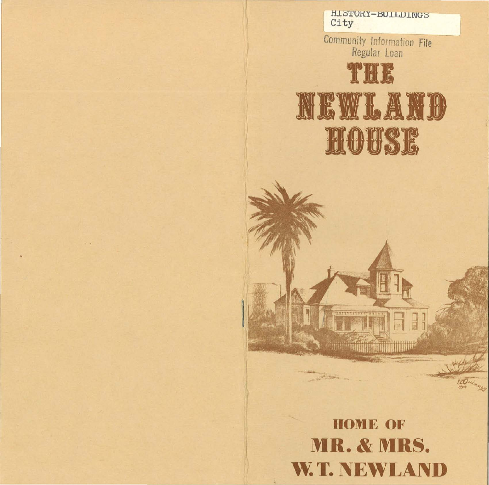

Community Information File<br>Regular Loan



**HOME OF MR. & MRS. W.T. NEWLAND** 

**Common** 

**CONTRACTOR** 

EQuinney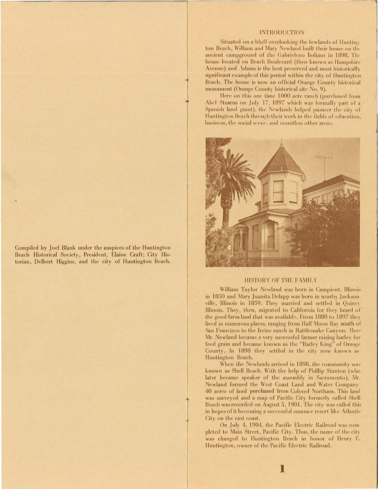Compiled by Joel Blank under the auspices of the Huntington Beach Historical Society, President, Elaine Craft; City Historian, Delbert Higgins, and the city of Huntington Beach.

# **INTRODUCTION**

Situated on a bluff overlooking the lowlands of Huntington Beach, William and Mary Newland built their house on the ancient campground of the Gabrieleno Indians in 1898. The house located on Beach Boulevard (then known as Hampshire Avenue) and Adams is the best preserved and most historically significant example of this period within the city of Huntington Beach. The house is now an official Orange County historical monument (Orange County historical site No. 9).

Here on this one time 1000 acre ranch (purchased from Abel Stearns on July 17, 1897 which was formally part of a Spanish land grant), the Newlands helped pioneer the city of Huntington Beach through their work in the fields of education. business, the social scene, and countless other areas.



## HISTORY OF THE FAMILY

William Taylor Newland was born in Campiont, Illinois in 1850 and Mary Juanita Delapp was born in nearby Jacksonville, Illinois in 1859. They married and settled in Quincy Illinois. They, then, migrated to California for they heard of the good farm land that was available. From 1880 to 1897 they lived in numerous places, ranging from Half Moon Bay south of San Francisco to the Irvine ranch in Rattlesnake Canyon. Here Mr. Newland became a very successful farmer raising barley for feed grain and became known as the "Barley King" of Orange County. In 1898 they settled in the city now known as Huntington Beach.

When the Newlands arrived in 1898, the community was known as Shell Beach. With the help of Phillip Stanton (who later became speaker of the assembly in Sacramento), Mr. Newland formed the West Coast Land and Water Company. 40 acres of land purchased from Colonel Northam. This land was surveyed and a map of Pacific City formerly called Shell Beach was recorded on August 5, 1901. The city was called this in hopes of it becoming a successful summer resort like Atlantic City on the east coast.

On July 4, 1904, the Pacific Electric Railroad was completed to Main Street, Pacific City. Thus, the name of the city was changed to Huntington Beach in honor of Henry E. Huntington, owner of the Pacific Electric Railroad.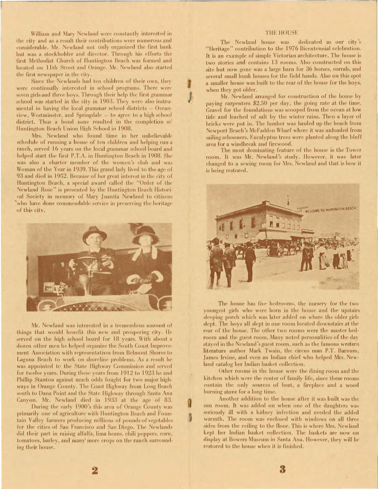William and Mary Newland were constantly interested in the city and as a result their contributions were numerous and considerable. Mr. Newland not only organized the first bank but was a stockholder and director. Through his efforts the first Methodist Church of Huntington Beach was formed and located on 11th Street and Orange. Mr. Newland also started the first newspaper in the city.

Since the Newlands had ten children of their own, they were continually interested in school programs. There were seven girls and three boys. Through their help the first grammar school was started in the city in 1903. They were also instrumental in having the local grammar school districts - Oceanview, Westminster, and Springdale - to agree to a high school district. Thus a bond issue resulted in the completion of Huntington Beach Union High School in 1908.

Mrs. Newland who found time in her unbelievable schedule of running a house of ten children and helping run a ranch, served 16 years on the local grammar school board and helped start the first P.T.A. in Huntington Beach in 1908. She was also a charter member of the women's club and was Woman of the Year in 1939. This grand lady lived to the age of 93 and died in 1952. Because of her great interest in the city of Huntington Beach, a special award called the "Order of the Newland Rose" is presented by the Huntington Beach Historical Society in memory of Mary Juanita Newland to citizens who have done commendable service in preserving the heritage of this city.



Mr. Newland was interested in a tremendous amount of things that would benefit this new and prospering city. He served on the high school board for 18 years. With about a dozen other men he helped organize the South Coast Improvement Association with representatives from Belmont Shores to Laguna Beach to work on shoreline problems. As a result he was appointed to the State Highway Commission and served for twelve years. During these years from 1912 to 1923 he and Phillip Stanton against much odds fought for two major highways in Orange County. The Coast Highway from Long Beach south to Dana Point and the State Highway through Santa Ana Canyon. Mr. Newland died in 1933 at the age of 83.

During the early 1900's this area of Orange County was primarily one of agriculture with Huntington Beach and Fountain Valley farmers producing millions of pounds of vegetables for the cities of San Francisco and San Diego. The Newlands did their part in raising alfalfa, lima beans, chili peppers, corn, tomatoes, barley, and many more crops on the ranch surrounding their house.

#### **THE HOUSE**

The Newland house was dedicated as our city's "Heritage" contribution to the 1976 Bicentennial celebration. It is an example of simple Victorian architecture. The house is two stories and contains 13 rooms. Also constructed on this site but now gone was a large barn for 36 horses, corrals, and several small bunk houses for the field hands. Also on this spot a smaller house was built to the rear of the house for the boys, when they got older.

Mr. Newland arranged for construction of the house by paying carpenters \$2.50 per day, the going rate at the time. Gravel for the foundations was scooped from the ocean at low tide and leached of salt by the winter rains. Then a layer of bricks were put in. The lumber was hauled up the beach from Newport Beach's McFadden Wharf where it was unloaded from sailing schooners. Eucalyptus trees were planted along the bluff area for a windbreak and firewood.

The most dominating feature of the house is the Tower room. It was Mr. Newland's study. However, it was later changed to a sewing room for Mrs. Newland and that is how it is being restored.



The house has five bedrooms, the nursery for the two youngest girls who were born in the house and the upstairs sleeping porch which was later added on where the older girls slept. The boys all slept in one room located downstairs at the rear of the house. The other two rooms were the master bedroom and the guest room. Many noted personalities of the day stayed in the Newland's guest room, such as the famous western literature author Mark Twain, the circus man P.T. Barnum, James Irvine, and even an Indian chief who helped Mrs. Newland catalog her Indian basket collection.

Other rooms in the house were the dining room and the kitchen which were the center of family life, since these rooms contain the only sources of heat, a fireplace and a wood burning stove for a long time.

Another addition to the house after it was built was the sun room. It was added on when one of the daughters was seriously ill with a kidney infection and needed the added warmth. The room was enclosed with windows on all three sides from the ceiling to the floor. This is where Mrs. Newland kept her Indian basket collection. The baskets are now on display at Bowers Museum in Santa Ana. However, they will be restored to the house when it is finished.